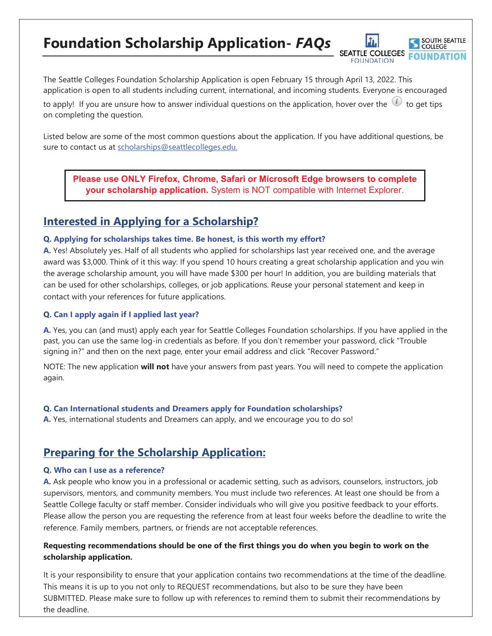# **Foundation Scholarship Application-** *FAQs*

The Seattle Colleges Foundation Scholarship Application is open February 15 through April 13, 2022. This application is open to all students including current, international, and incoming students. Everyone is encouraged

SOUTH SEATTLE COLLEGE

SEATTLE COLLEGES FOUNDATION

to apply! If you are unsure how to answer individual questions on the application, hover over the  $\omega$  to get tips on completing the question.

Listed below are some of the most common questions about the application. If you have additional questions, be sure to contact us at scholarships@seattlecolleges.edu.

**Please use ONLY Firefox, Chrome, Safari or Microsoft Edge browsers to complete your scholarship application.** System is NOT compatible with Internet Explorer.

### **Interested in Applying for a Scholarship?**

#### **Q. Applying for scholarships takes time. Be honest, is this worth my effort?**

**A.** Yes! Absolutely yes. Half of all students who applied for scholarships last year received one, and the average award was \$3,000. Think of it this way: If you spend 10 hours creating a great scholarship application and you win the average scholarship amount, you will have made \$300 per hour! In addition, you are building materials that can be used for other scholarships, colleges, or job applications. Reuse your personal statement and keep in contact with your references for future applications.

#### **Q. Can I apply again if I applied last year?**

**A.** Yes, you can (and must) apply each year for Seattle Colleges Foundation scholarships. If you have applied in the past, you can use the same log-in credentials as before. If you don't remember your password, click "Trouble signing in?" and then on the next page, enter your email address and click "Recover Password."

NOTE: The new application **will not** have your answers from past years. You will need to compete the application again.

#### **Q. Can International students and Dreamers apply for Foundation scholarships?**

**A.** Yes, international students and Dreamers can apply, and we encourage you to do so!

## **Preparing for the Scholarship Application:**

#### **Q. Who can I use as a reference?**

**A.** Ask people who know you in a professional or academic setting, such as advisors, counselors, instructors, job supervisors, mentors, and community members. You must include two references. At least one should be from a Seattle College faculty or staff member. Consider individuals who will give you positive feedback to your efforts. Please allow the person you are requesting the reference from at least four weeks before the deadline to write the reference. Family members, partners, or friends are not acceptable references.

#### **Requesting recommendations should be one of the first things you do when you begin to work on the scholarship application.**

It is your responsibility to ensure that your application contains two recommendations at the time of the deadline. This means it is up to you not only to REQUEST recommendations, but also to be sure they have been SUBMITTED. Please make sure to follow up with references to remind them to submit their recommendations by the deadline.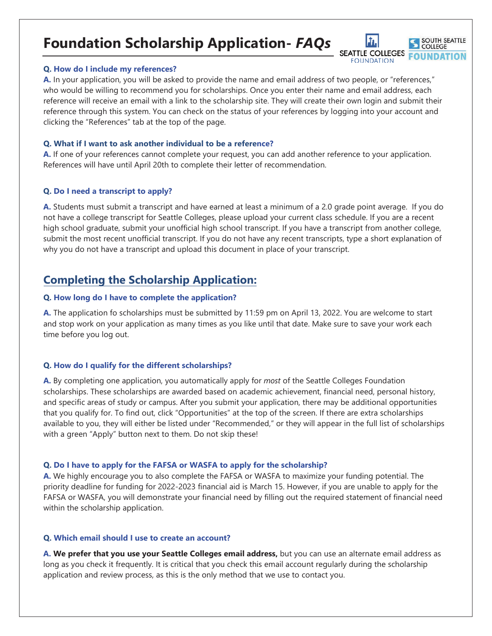# **Foundation Scholarship Application-** *FAQs*

#### **Q. How do I include my references?**

**A.** In your application, you will be asked to provide the name and email address of two people, or "references," who would be willing to recommend you for scholarships. Once you enter their name and email address, each reference will receive an email with a link to the scholarship site. They will create their own login and submit their reference through this system. You can check on the status of your references by logging into your account and clicking the "References" tab at the top of the page.

SOUTH SEATTLE **COLLEGE** 

SEATTLE COLLEGES FOUNDATION

#### **Q. What if I want to ask another individual to be a reference?**

**A.** If one of your references cannot complete your request, you can add another reference to your application. References will have until April 20th to complete their letter of recommendation.

#### **Q. Do I need a transcript to apply?**

**A.** Students must submit a transcript and have earned at least a minimum of a 2.0 grade point average. If you do not have a college transcript for Seattle Colleges, please upload your current class schedule. If you are a recent high school graduate, submit your unofficial high school transcript. If you have a transcript from another college, submit the most recent unofficial transcript. If you do not have any recent transcripts, type a short explanation of why you do not have a transcript and upload this document in place of your transcript.

## **Completing the Scholarship Application:**

#### **Q. How long do I have to complete the application?**

**A.** The application fo scholarships must be submitted by 11:59 pm on April 13, 2022. You are welcome to start and stop work on your application as many times as you like until that date. Make sure to save your work each time before you log out.

#### **Q. How do I qualify for the different scholarships?**

**A.** By completing one application, you automatically apply for *most* of the Seattle Colleges Foundation scholarships. These scholarships are awarded based on academic achievement, financial need, personal history, and specific areas of study or campus. After you submit your application, there may be additional opportunities that you qualify for. To find out, click "Opportunities" at the top of the screen. If there are extra scholarships available to you, they will either be listed under "Recommended," or they will appear in the full list of scholarships with a green "Apply" button next to them. Do not skip these!

#### **Q. Do I have to apply for the FAFSA or WASFA to apply for the scholarship?**

**A.** We highly encourage you to also complete the FAFSA or WASFA to maximize your funding potential. The priority deadline for funding for 2022-2023 financial aid is March 15. However, if you are unable to apply for the FAFSA or WASFA, you will demonstrate your financial need by filling out the required statement of financial need within the scholarship application.

#### **Q. Which email should I use to create an account?**

**A. We prefer that you use your Seattle Colleges email address,** but you can use an alternate email address as long as you check it frequently. It is critical that you check this email account regularly during the scholarship application and review process, as this is the only method that we use to contact you.